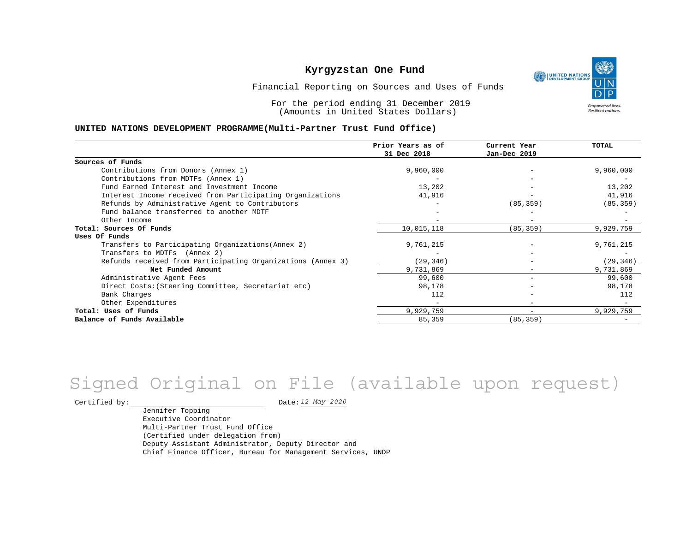UNITED NATIONS **Empowered lives** Resilient nations.

Financial Reporting on Sources and Uses of Funds

For the period ending 31 December 2019 (Amounts in United States Dollars)

#### **UNITED NATIONS DEVELOPMENT PROGRAMME(Multi-Partner Trust Fund Office)**

|                                                             | Prior Years as of | Current Year                 | <b>TOTAL</b> |
|-------------------------------------------------------------|-------------------|------------------------------|--------------|
|                                                             | 31 Dec 2018       | Jan-Dec 2019                 |              |
| Sources of Funds                                            |                   |                              |              |
| Contributions from Donors (Annex 1)                         | 9,960,000         | $\overline{\phantom{m}}$     | 9,960,000    |
| Contributions from MDTFs (Annex 1)                          |                   |                              |              |
| Fund Earned Interest and Investment Income                  | 13,202            |                              | 13,202       |
| Interest Income received from Participating Organizations   | 41,916            |                              | 41,916       |
| Refunds by Administrative Agent to Contributors             |                   | (85, 359)                    | (85, 359)    |
| Fund balance transferred to another MDTF                    |                   |                              |              |
| Other Income                                                |                   | $\equiv$                     |              |
| Total: Sources Of Funds                                     | 10,015,118        | (85, 359)                    | 9,929,759    |
| Uses Of Funds                                               |                   |                              |              |
| Transfers to Participating Organizations (Annex 2)          | 9,761,215         |                              | 9,761,215    |
| Transfers to MDTFs (Annex 2)                                |                   |                              |              |
| Refunds received from Participating Organizations (Annex 3) | (29, 346)         | $\qquad \qquad \blacksquare$ | (29, 346)    |
| Net Funded Amount                                           | 9,731,869         |                              | 9,731,869    |
| Administrative Agent Fees                                   | 99,600            | -                            | 99,600       |
| Direct Costs: (Steering Committee, Secretariat etc)         | 98,178            |                              | 98,178       |
| Bank Charges                                                | 112               |                              | 112          |
| Other Expenditures                                          |                   |                              |              |
| Total: Uses of Funds                                        | 9,929,759         | $\overline{\phantom{0}}$     | 9,929,759    |
| Balance of Funds Available                                  | 85,359            | (85, 359)                    |              |

# Signed Original on File (available upon request)

Certified by: Date:

Jennifer Topping Executive Coordinator Multi-Partner Trust Fund Office (Certified under delegation from) Deputy Assistant Administrator, Deputy Director and Chief Finance Officer, Bureau for Management Services, UNDP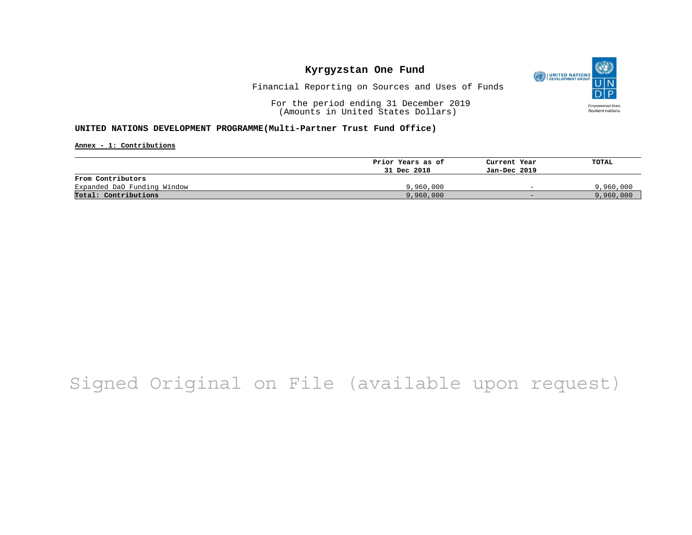

Financial Reporting on Sources and Uses of Funds

For the period ending 31 December 2019 (Amounts in United States Dollars)

### **UNITED NATIONS DEVELOPMENT PROGRAMME(Multi-Partner Trust Fund Office)**

**Annex - 1: Contributions**

|                             | Prior Years as of | Current Year             | TOTAL     |
|-----------------------------|-------------------|--------------------------|-----------|
|                             | 31 Dec 2018       | Jan-Dec 2019             |           |
| From Contributors           |                   |                          |           |
| Expanded DaO Funding Window | 9,960,000         | $\overline{\phantom{0}}$ | 9,960,000 |
| Total: Contributions        | 9,960,000         | $-$                      | 9,960,000 |

## Signed Original on File (available upon request)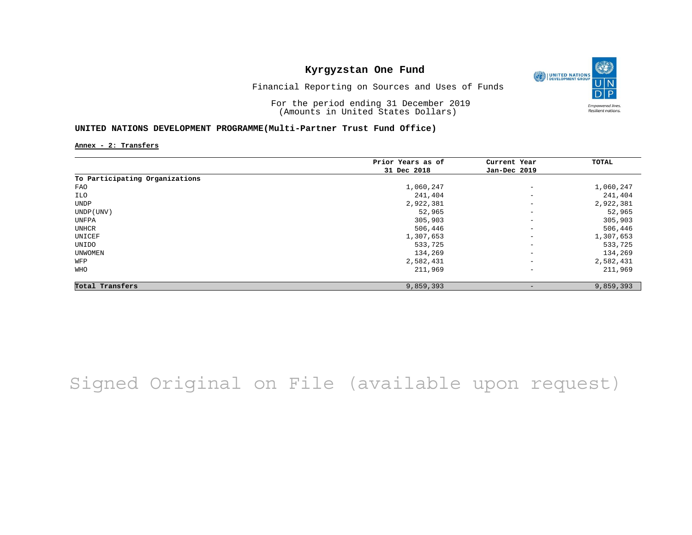

Financial Reporting on Sources and Uses of Funds

For the period ending 31 December 2019 (Amounts in United States Dollars)

### **UNITED NATIONS DEVELOPMENT PROGRAMME(Multi-Partner Trust Fund Office)**

**Annex - 2: Transfers**

|                                | Prior Years as of | Current Year<br>Jan-Dec 2019 | TOTAL     |
|--------------------------------|-------------------|------------------------------|-----------|
|                                | 31 Dec 2018       |                              |           |
| To Participating Organizations |                   |                              |           |
| FAO                            | 1,060,247         | $\qquad \qquad -$            | 1,060,247 |
| ILO                            | 241,404           | $\qquad \qquad -$            | 241,404   |
| UNDP                           | 2,922,381         | $\qquad \qquad -$            | 2,922,381 |
| UNDP (UNV)                     | 52,965            | $\overline{\phantom{a}}$     | 52,965    |
| UNFPA                          | 305,903           | $\overline{\phantom{a}}$     | 305,903   |
| UNHCR                          | 506,446           | $\overline{\phantom{a}}$     | 506,446   |
| UNICEF                         | 1,307,653         | $\qquad \qquad -$            | 1,307,653 |
| UNIDO                          | 533,725           | $\qquad \qquad -$            | 533,725   |
| UNWOMEN                        | 134,269           | $\overline{\phantom{m}}$     | 134,269   |
| WFP                            | 2,582,431         | $\overline{\phantom{a}}$     | 2,582,431 |
| <b>WHO</b>                     | 211,969           | $\qquad \qquad -$            | 211,969   |
| Total Transfers                | 9,859,393         |                              | 9,859,393 |

Signed Original on File (available upon request)